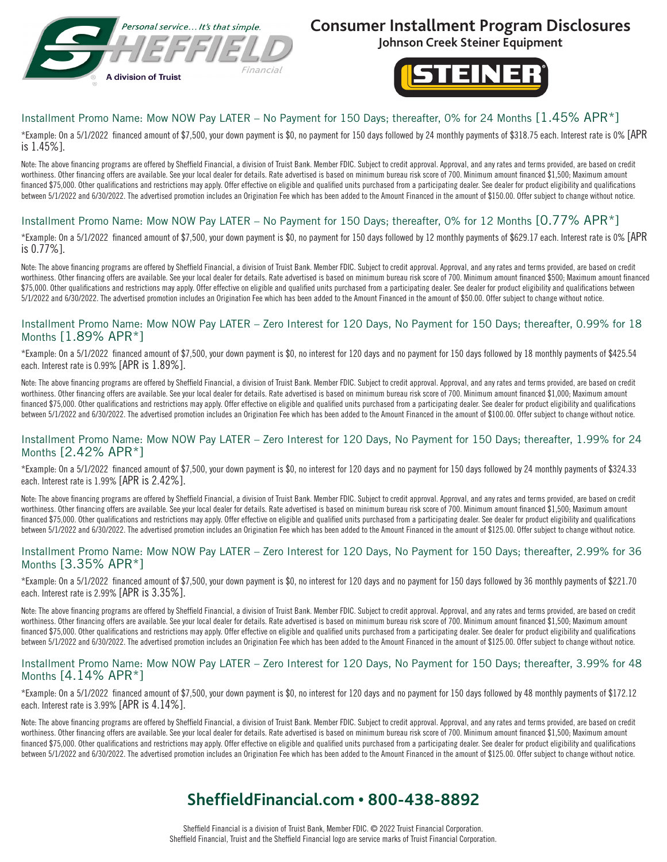

## **Consumer Installment Program Disclosures**

**Johnson Creek Steiner Equipment**



### Installment Promo Name: Mow NOW Pay LATER – No Payment for 150 Days; thereafter, 0% for 24 Months [1.45% APR\*]

\*Example: On a 5/1/2022 financed amount of \$7,500, your down payment is \$0, no payment for 150 days followed by 24 monthly payments of \$318.75 each. Interest rate is 0% [APR is 1.45%].

Note: The above financing programs are offered by Sheffield Financial, a division of Truist Bank. Member FDIC. Subject to credit approval. Approval, and any rates and terms provided, are based on credit worthiness. Other financing offers are available. See your local dealer for details. Rate advertised is based on minimum bureau risk score of 700. Minimum amount financed \$1,500; Maximum amount financed \$75,000. Other qualifications and restrictions may apply. Offer effective on eligible and qualified units purchased from a participating dealer. See dealer for product eligibility and qualifications between 5/1/2022 and 6/30/2022. The advertised promotion includes an Origination Fee which has been added to the Amount Financed in the amount of \$150.00. Offer subject to change without notice.

### Installment Promo Name: Mow NOW Pay LATER – No Payment for 150 Days; thereafter, 0% for 12 Months [0.77% APR\*]

\*Example: On a 5/1/2022 financed amount of \$7,500, your down payment is \$0, no payment for 150 days followed by 12 monthly payments of \$629.17 each. Interest rate is 0% [APR is 0.77%].

Note: The above financing programs are offered by Sheffield Financial, a division of Truist Bank. Member FDIC. Subject to credit approval. Approval, and any rates and terms provided, are based on credit worthiness. Other financing offers are available. See your local dealer for details. Rate advertised is based on minimum bureau risk score of 700. Minimum amount financed \$500; Maximum amount financed \$75,000. Other qualifications and restrictions may apply. Offer effective on eligible and qualified units purchased from a participating dealer. See dealer for product eligibility and qualifications between 5/1/2022 and 6/30/2022. The advertised promotion includes an Origination Fee which has been added to the Amount Financed in the amount of \$50.00. Offer subject to change without notice.

#### Installment Promo Name: Mow NOW Pay LATER – Zero Interest for 120 Days, No Payment for 150 Days; thereafter, 0.99% for 18 Months [1.89% APR\*]

\*Example: On a 5/1/2022 financed amount of \$7,500, your down payment is \$0, no interest for 120 days and no payment for 150 days followed by 18 monthly payments of \$425.54 each. Interest rate is 0.99% [APR is 1.89%].

Note: The above financing programs are offered by Sheffield Financial, a division of Truist Bank. Member FDIC. Subject to credit approval. Approval, and any rates and terms provided, are based on credit worthiness. Other financing offers are available. See your local dealer for details. Rate advertised is based on minimum bureau risk score of 700. Minimum amount financed \$1,000; Maximum amount financed \$75,000. Other qualifications and restrictions may apply. Offer effective on eligible and qualified units purchased from a participating dealer. See dealer for product eligibility and qualifications between 5/1/2022 and 6/30/2022. The advertised promotion includes an Origination Fee which has been added to the Amount Financed in the amount of \$100.00. Offer subject to change without notice.

#### Installment Promo Name: Mow NOW Pay LATER – Zero Interest for 120 Days, No Payment for 150 Days; thereafter, 1.99% for 24 Months [2.42% APR\*]

\*Example: On a 5/1/2022 financed amount of \$7,500, your down payment is \$0, no interest for 120 days and no payment for 150 days followed by 24 monthly payments of \$324.33 each. Interest rate is 1.99% [APR is 2.42%].

Note: The above financing programs are offered by Sheffield Financial, a division of Truist Bank. Member FDIC. Subject to credit approval. Approval, and any rates and terms provided, are based on credit worthiness. Other financing offers are available. See your local dealer for details. Rate advertised is based on minimum bureau risk score of 700. Minimum amount financed \$1,500; Maximum amount financed \$75,000. Other qualifications and restrictions may apply. Offer effective on eligible and qualified units purchased from a participating dealer. See dealer for product eligibility and qualifications between 5/1/2022 and 6/30/2022. The advertised promotion includes an Origination Fee which has been added to the Amount Financed in the amount of \$125.00. Offer subject to change without notice.

#### Installment Promo Name: Mow NOW Pay LATER – Zero Interest for 120 Days, No Payment for 150 Days; thereafter, 2.99% for 36 Months [3.35% APR\*]

\*Example: On a 5/1/2022 financed amount of \$7,500, your down payment is \$0, no interest for 120 days and no payment for 150 days followed by 36 monthly payments of \$221.70 each. Interest rate is 2.99% [APR is 3.35%].

Note: The above financing programs are offered by Sheffield Financial, a division of Truist Bank. Member FDIC. Subject to credit approval. Approval, and any rates and terms provided, are based on credit worthiness. Other financing offers are available. See your local dealer for details. Rate advertised is based on minimum bureau risk score of 700. Minimum amount financed \$1,500; Maximum amount financed \$75,000. Other qualifications and restrictions may apply. Offer effective on eligible and qualified units purchased from a participating dealer. See dealer for product eligibility and qualifications between 5/1/2022 and 6/30/2022. The advertised promotion includes an Origination Fee which has been added to the Amount Financed in the amount of \$125.00. Offer subject to change without notice.

#### Installment Promo Name: Mow NOW Pay LATER – Zero Interest for 120 Days, No Payment for 150 Days; thereafter, 3.99% for 48 Months [4.14% APR\*]

\*Example: On a 5/1/2022 financed amount of \$7,500, your down payment is \$0, no interest for 120 days and no payment for 150 days followed by 48 monthly payments of \$172.12 each. Interest rate is 3.99% [APR is 4.14%].

Note: The above financing programs are offered by Sheffield Financial, a division of Truist Bank. Member FDIC. Subject to credit approval. Approval, and any rates and terms provided, are based on credit worthiness. Other financing offers are available. See your local dealer for details. Rate advertised is based on minimum bureau risk score of 700. Minimum amount financed \$1.500; Maximum amount financed \$75,000. Other qualifications and restrictions may apply. Offer effective on eligible and qualified units purchased from a participating dealer. See dealer for product eligibility and qualifications between 5/1/2022 and 6/30/2022. The advertised promotion includes an Origination Fee which has been added to the Amount Financed in the amount of \$125.00. Offer subject to change without notice.

# **SheffieldFinancial.com • 800-438-8892**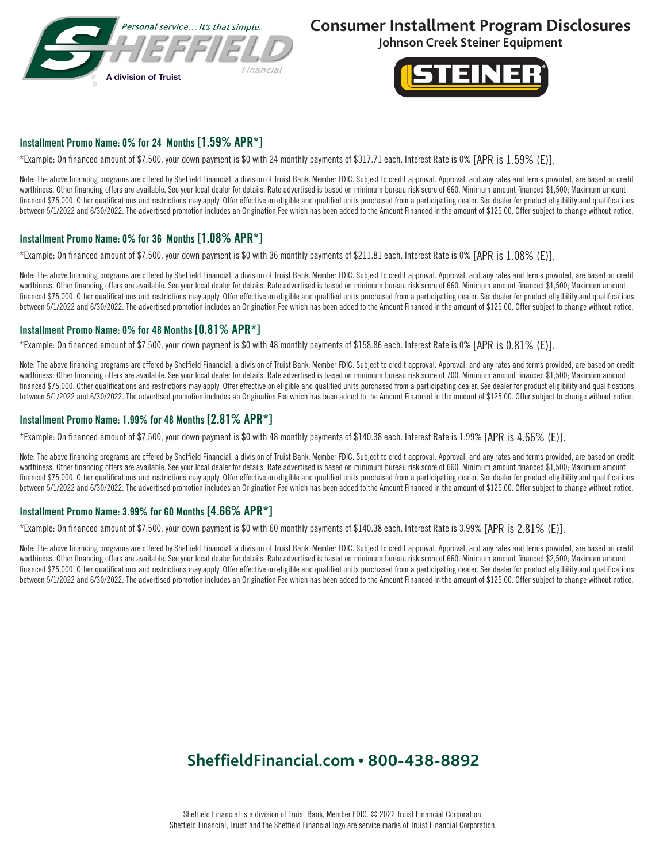

### **Consumer Installment Program Disclosures**

**Johnson Creek Steiner Equipment**



#### Installment Promo Name: 0% for 24 Months [1.59% APR\*]

\*Example: On financed amount of \$7,500, your down payment is \$0 with 24 monthly payments of \$317.71 each. Interest Rate is 0% [APR is 1.59% (E)].

Note: The above financing programs are offered by Sheffield Financial, a division of Truist Bank. Member FDIC. Subject to credit approval. Approval, and any rates and terms provided, are based on credit worthiness. Other financing offers are available. See your local dealer for details. Rate advertised is based on minimum bureau risk score of 660. Minimum amount financed \$1,500; Maximum amount financed \$75,000. Other qualifications and restrictions may apply. Offer effective on eligible and qualified units purchased from a participating dealer. See dealer for product eligibility and qualifications between 5/1/2022 and 6/30/2022. The advertised promotion includes an Origination Fee which has been added to the Amount Financed in the amount of \$125.00. Offer subject to change without notice.

#### Installment Promo Name: 0% for 36 Months [1.08% APR\*]

\*Example: On financed amount of \$7,500, your down payment is \$0 with 36 monthly payments of \$211.81 each. Interest Rate is 0% [APR is 1.08% (E)].

Note: The above financing programs are offered by Sheffield Financial, a division of Truist Bank. Member FDIC. Subject to credit approval. Approval, and any rates and terms provided, are based on credit worthiness. Other financing offers are available. See your local dealer for details. Rate advertised is based on minimum bureau risk score of 660. Minimum amount financed \$1,500; Maximum amount financed \$75,000. Other qualifications and restrictions may apply. Offer effective on eligible and qualified units purchased from a participating dealer. See dealer for product eligibility and qualifications between 5/1/2022 and 6/30/2022. The advertised promotion includes an Origination Fee which has been added to the Amount Financed in the amount of \$125.00. Offer subject to change without notice.

#### Installment Promo Name: 0% for 48 Months [0.81% APR\*]

\*Example: On financed amount of \$7,500, your down payment is \$0 with 48 monthly payments of \$158.86 each. Interest Rate is 0% [APR is 0.81% (E)].

Note: The above financing programs are offered by Sheffield Financial, a division of Truist Bank. Member FDIC. Subject to credit approval. Approval, and any rates and terms provided, are based on credit worthiness. Other financing offers are available. See your local dealer for details. Rate advertised is based on minimum bureau risk score of 700. Minimum amount financed \$1,500; Maximum amount financed \$75,000. Other qualifications and restrictions may apply. Offer effective on eligible and qualified units purchased from a participating dealer. See dealer for product eligibility and qualifications between 5/1/2022 and 6/30/2022. The advertised promotion includes an Origination Fee which has been added to the Amount Financed in the amount of \$125.00. Offer subject to change without notice.

#### Installment Promo Name: 1.99% for 48 Months [2.81% APR\*]

\*Example: On financed amount of \$7,500, your down payment is \$0 with 48 monthly payments of \$140.38 each. Interest Rate is 1.99% [APR is 4.66% (E)].

Note: The above financing programs are offered by Sheffield Financial, a division of Truist Bank. Member FDIC. Subject to credit approval. Approval, and any rates and terms provided, are based on credit worthiness. Other financing offers are available. See your local dealer for details. Rate advertised is based on minimum bureau risk score of 660. Minimum amount financed \$1,500; Maximum amount financed \$75,000. Other qualifications and restrictions may apply. Offer effective on eligible and qualified units purchased from a participating dealer. See dealer for product eligibility and qualifications between 5/1/2022 and 6/30/2022. The advertised promotion includes an Origination Fee which has been added to the Amount Financed in the amount of \$125.00. Offer subject to change without notice.

#### Installment Promo Name: 3.99% for 60 Months [4.66% APR\*]

\*Example: On financed amount of \$7,500, your down payment is \$0 with 60 monthly payments of \$140.38 each. Interest Rate is 3.99% [APR is 2.81% (E)].

Note: The above financing programs are offered by Sheffield Financial, a division of Truist Bank. Member FDIC. Subject to credit approval. Approval, and any rates and terms provided, are based on credit worthiness. Other financing offers are available. See your local dealer for details. Rate advertised is based on minimum bureau risk score of 660. Minimum amount financed \$2,500; Maximum amount financed \$75,000. Other qualifications and restrictions may apply. Offer effective on eligible and qualified units purchased from a participating dealer. See dealer for product eligibility and qualifications between 5/1/2022 and 6/30/2022. The advertised promotion includes an Origination Fee which has been added to the Amount Financed in the amount of \$125.00. Offer subject to change without notice.

# **SheffieldFinancial.com • 800-438-8892**